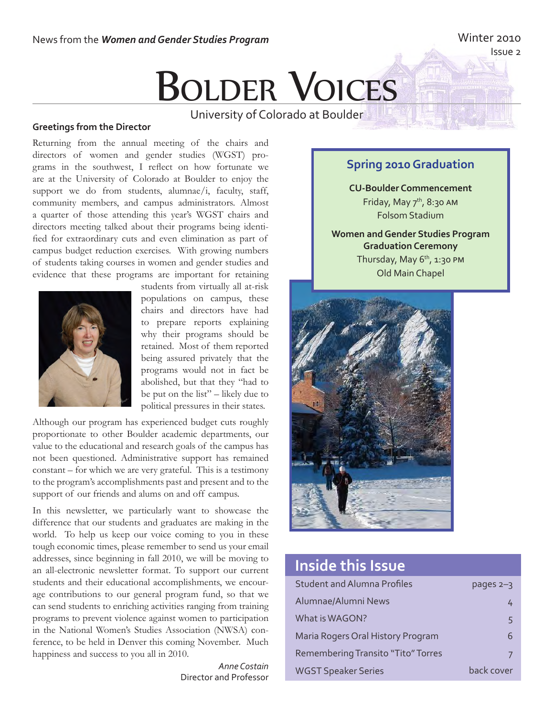## Winter 2010

Issue 2

# **BOLDER VOICES**

University of Colorado at Boulder

#### **Greetings from the Director**

Returning from the annual meeting of the chairs and directors of women and gender studies (WGST) programs in the southwest, I reflect on how fortunate we are at the University of Colorado at Boulder to enjoy the support we do from students, alumnae/i, faculty, staff, community members, and campus administrators. Almost a quarter of those attending this year's WGST chairs and directors meeting talked about their programs being identified for extraordinary cuts and even elimination as part of campus budget reduction exercises. With growing numbers of students taking courses in women and gender studies and evidence that these programs are important for retaining



students from virtually all at-risk populations on campus, these chairs and directors have had to prepare reports explaining why their programs should be retained. Most of them reported being assured privately that the programs would not in fact be abolished, but that they "had to be put on the list" – likely due to political pressures in their states.

Although our program has experienced budget cuts roughly proportionate to other Boulder academic departments, our value to the educational and research goals of the campus has not been questioned. Administrative support has remained constant – for which we are very grateful. This is a testimony to the program's accomplishments past and present and to the support of our friends and alums on and off campus.

In this newsletter, we particularly want to showcase the difference that our students and graduates are making in the world. To help us keep our voice coming to you in these tough economic times, please remember to send us your email addresses, since beginning in fall 2010, we will be moving to an all-electronic newsletter format. To support our current students and their educational accomplishments, we encourage contributions to our general program fund, so that we can send students to enriching activities ranging from training programs to prevent violence against women to participation in the National Women's Studies Association (NWSA) conference, to be held in Denver this coming November. Much happiness and success to you all in 2010.

> *Anne Costain* Director and Professor

### **Spring 2010 Graduation**

**CU-Boulder Commencement** Friday, May  $7<sup>th</sup>$ , 8:30 AM Folsom Stadium

**Women and Gender Studies Program Graduation Ceremony** Thursday, May  $6<sup>th</sup>$ , 1:30 PM Old Main Chapel



# **Inside this Issue**

| <b>Student and Alumna Profiles</b> | pages 2–3  |
|------------------------------------|------------|
| Alumnae/Alumni News                | 4          |
| What is WAGON?                     | 5          |
| Maria Rogers Oral History Program  | 6          |
| Remembering Transito "Tito" Torres |            |
| <b>WGST Speaker Series</b>         | back cover |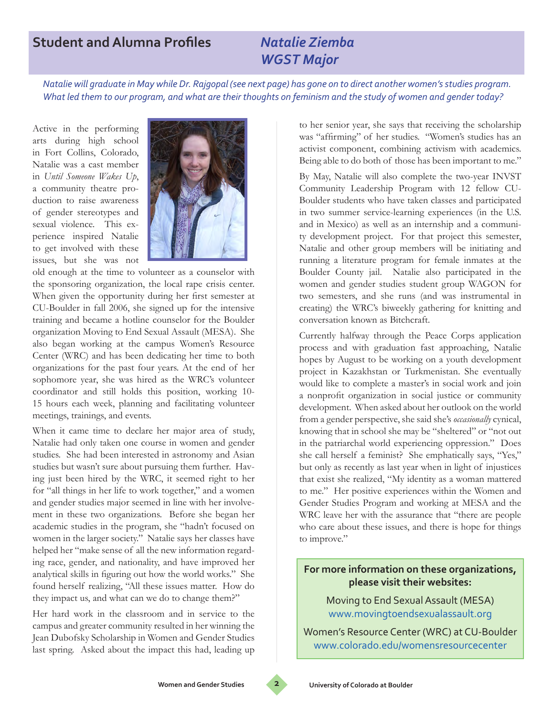# **Student and Alumna Profiles** *Natalie Ziemba*

# *WGST Major*

*Natalie will graduate in May while Dr. Rajgopal (see next page) has gone on to direct another women's studies program. What led them to our program, and what are their thoughts on feminism and the study of women and gender today?*

Active in the performing arts during high school in Fort Collins, Colorado, Natalie was a cast member in *Until Someone Wakes Up*, a community theatre production to raise awareness of gender stereotypes and sexual violence. This experience inspired Natalie to get involved with these issues, but she was not



old enough at the time to volunteer as a counselor with the sponsoring organization, the local rape crisis center. When given the opportunity during her first semester at CU-Boulder in fall 2006, she signed up for the intensive training and became a hotline counselor for the Boulder organization Moving to End Sexual Assault (MESA). She also began working at the campus Women's Resource Center (WRC) and has been dedicating her time to both organizations for the past four years. At the end of her sophomore year, she was hired as the WRC's volunteer coordinator and still holds this position, working 10- 15 hours each week, planning and facilitating volunteer meetings, trainings, and events.

When it came time to declare her major area of study, Natalie had only taken one course in women and gender studies. She had been interested in astronomy and Asian studies but wasn't sure about pursuing them further. Having just been hired by the WRC, it seemed right to her for "all things in her life to work together," and a women and gender studies major seemed in line with her involvement in these two organizations. Before she began her academic studies in the program, she "hadn't focused on women in the larger society." Natalie says her classes have helped her "make sense of all the new information regarding race, gender, and nationality, and have improved her analytical skills in figuring out how the world works." She found herself realizing, "All these issues matter. How do they impact us, and what can we do to change them?"

Her hard work in the classroom and in service to the campus and greater community resulted in her winning the Jean Dubofsky Scholarship in Women and Gender Studies last spring. Asked about the impact this had, leading up to her senior year, she says that receiving the scholarship was "affirming" of her studies. "Women's studies has an activist component, combining activism with academics. Being able to do both of those has been important to me."

By May, Natalie will also complete the two-year INVST Community Leadership Program with 12 fellow CU-Boulder students who have taken classes and participated in two summer service-learning experiences (in the U.S. and in Mexico) as well as an internship and a community development project. For that project this semester, Natalie and other group members will be initiating and running a literature program for female inmates at the Boulder County jail. Natalie also participated in the women and gender studies student group WAGON for two semesters, and she runs (and was instrumental in creating) the WRC's biweekly gathering for knitting and conversation known as Bitchcraft.

Currently halfway through the Peace Corps application process and with graduation fast approaching, Natalie hopes by August to be working on a youth development project in Kazakhstan or Turkmenistan. She eventually would like to complete a master's in social work and join a nonprofit organization in social justice or community development. When asked about her outlook on the world from a gender perspective, she said she's *occasionally* cynical, knowing that in school she may be "sheltered" or "not out in the patriarchal world experiencing oppression." Does she call herself a feminist? She emphatically says, "Yes," but only as recently as last year when in light of injustices that exist she realized, "My identity as a woman mattered to me." Her positive experiences within the Women and Gender Studies Program and working at MESA and the WRC leave her with the assurance that "there are people who care about these issues, and there is hope for things to improve."

### **For more information on these organizations, please visit their websites:**

Moving to End Sexual Assault (MESA) www.movingtoendsexualassault.org

Women's Resource Center (WRC) at CU-Boulder www.colorado.edu/womensresourcecenter

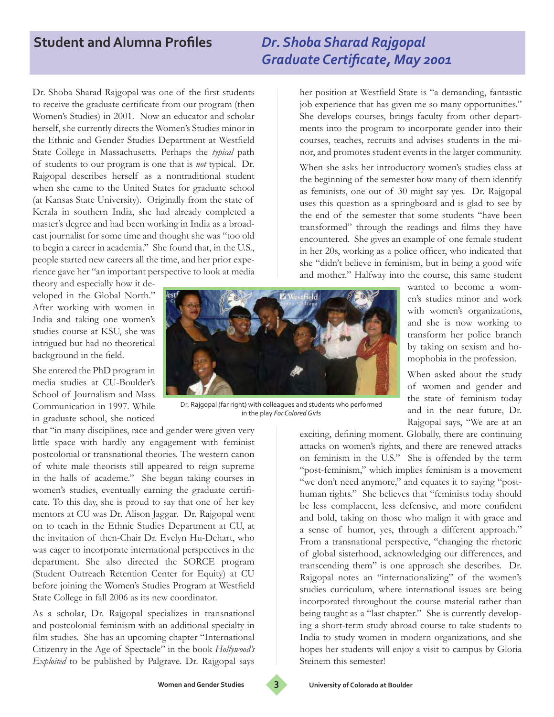# **Student and Alumna Profiles** *Dr. Shoba Sharad Rajgopal*

# *Graduate Certificate, May 2001*

Dr. Shoba Sharad Rajgopal was one of the first students to receive the graduate certificate from our program (then Women's Studies) in 2001. Now an educator and scholar herself, she currently directs the Women's Studies minor in the Ethnic and Gender Studies Department at Westfield State College in Massachusetts. Perhaps the *typical* path of students to our program is one that is *not* typical. Dr. Rajgopal describes herself as a nontraditional student when she came to the United States for graduate school (at Kansas State University). Originally from the state of Kerala in southern India, she had already completed a master's degree and had been working in India as a broadcast journalist for some time and thought she was "too old to begin a career in academia." She found that, in the U.S., people started new careers all the time, and her prior experience gave her "an important perspective to look at media

theory and especially how it developed in the Global North." After working with women in India and taking one women's studies course at KSU, she was intrigued but had no theoretical background in the field.

She entered the PhD program in media studies at CU-Boulder's School of Journalism and Mass Communication in 1997. While in graduate school, she noticed

that "in many disciplines, race and gender were given very little space with hardly any engagement with feminist postcolonial or transnational theories. The western canon of white male theorists still appeared to reign supreme in the halls of academe." She began taking courses in women's studies, eventually earning the graduate certificate. To this day, she is proud to say that one of her key mentors at CU was Dr. Alison Jaggar. Dr. Rajgopal went on to teach in the Ethnic Studies Department at CU, at the invitation of then-Chair Dr. Evelyn Hu-Dehart, who was eager to incorporate international perspectives in the department. She also directed the SORCE program (Student Outreach Retention Center for Equity) at CU before joining the Women's Studies Program at Westfield State College in fall 2006 as its new coordinator.

As a scholar, Dr. Rajgopal specializes in transnational and postcolonial feminism with an additional specialty in film studies. She has an upcoming chapter "International Citizenry in the Age of Spectacle" in the book *Hollywood's Exploited* to be published by Palgrave. Dr. Rajgopal says



Dr. Rajgopal (far right) with colleagues and students who performed in the play *For Colored Girls*

her position at Westfield State is "a demanding, fantastic job experience that has given me so many opportunities." She develops courses, brings faculty from other departments into the program to incorporate gender into their courses, teaches, recruits and advises students in the minor, and promotes student events in the larger community.

When she asks her introductory women's studies class at the beginning of the semester how many of them identify as feminists, one out of 30 might say yes. Dr. Rajgopal uses this question as a springboard and is glad to see by the end of the semester that some students "have been transformed" through the readings and films they have encountered. She gives an example of one female student in her 20s, working as a police officer, who indicated that she "didn't believe in feminism, but in being a good wife and mother." Halfway into the course, this same student

wanted to become a women's studies minor and work with women's organizations, and she is now working to transform her police branch by taking on sexism and homophobia in the profession.

When asked about the study of women and gender and the state of feminism today and in the near future, Dr. Rajgopal says, "We are at an

exciting, defining moment. Globally, there are continuing attacks on women's rights, and there are renewed attacks on feminism in the U.S." She is offended by the term "post-feminism," which implies feminism is a movement "we don't need anymore," and equates it to saying "posthuman rights." She believes that "feminists today should be less complacent, less defensive, and more confident and bold, taking on those who malign it with grace and a sense of humor, yes, through a different approach." From a transnational perspective, "changing the rhetoric of global sisterhood, acknowledging our differences, and transcending them" is one approach she describes. Dr. Rajgopal notes an "internationalizing" of the women's studies curriculum, where international issues are being incorporated throughout the course material rather than being taught as a "last chapter." She is currently developing a short-term study abroad course to take students to India to study women in modern organizations, and she hopes her students will enjoy a visit to campus by Gloria Steinem this semester!

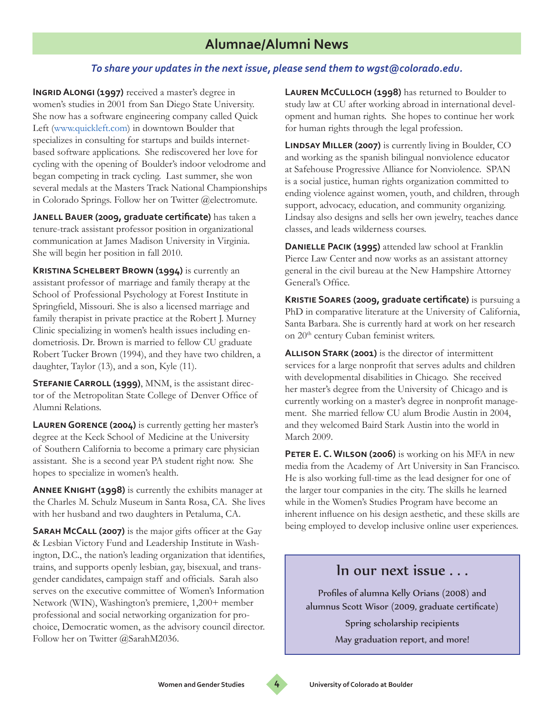### *To share your updates in the next issue, please send them to wgst@colorado.edu.*

**INGRID ALONGI (1997)** received a master's degree in women's studies in 2001 from San Diego State University. She now has a software engineering company called Quick Left (www.quickleft.com) in downtown Boulder that specializes in consulting for startups and builds internetbased software applications. She rediscovered her love for cycling with the opening of Boulder's indoor velodrome and began competing in track cycling. Last summer, she won several medals at the Masters Track National Championships in Colorado Springs. Follow her on Twitter @electromute.

**Janell Bauer (2009, graduate certificate)** has taken a tenure-track assistant professor position in organizational communication at James Madison University in Virginia. She will begin her position in fall 2010.

**Kristina Schelbert Brown (1994)** is currently an assistant professor of marriage and family therapy at the School of Professional Psychology at Forest Institute in Springfield, Missouri. She is also a licensed marriage and family therapist in private practice at the Robert J. Murney Clinic specializing in women's health issues including endometriosis. Dr. Brown is married to fellow CU graduate Robert Tucker Brown (1994), and they have two children, a daughter, Taylor (13), and a son, Kyle (11).

**STEFANIE CARROLL (1999)**, MNM, is the assistant director of the Metropolitan State College of Denver Office of Alumni Relations.

**Lauren Gorence (2004)** is currently getting her master's degree at the Keck School of Medicine at the University of Southern California to become a primary care physician assistant. She is a second year PA student right now. She hopes to specialize in women's health.

**Annee Knight (1998)** is currently the exhibits manager at the Charles M. Schulz Museum in Santa Rosa, CA. She lives with her husband and two daughters in Petaluma, CA.

**Sarah McCall (2007)** is the major gifts officer at the Gay & Lesbian Victory Fund and Leadership Institute in Washington, D.C., the nation's leading organization that identifies, trains, and supports openly lesbian, gay, bisexual, and transgender candidates, campaign staff and officials. Sarah also serves on the executive committee of Women's Information Network (WIN), Washington's premiere, 1,200+ member professional and social networking organization for prochoice, Democratic women, as the advisory council director. Follow her on Twitter @SarahM2036.

**Lauren McCulloch (1998)** has returned to Boulder to study law at CU after working abroad in international development and human rights. She hopes to continue her work for human rights through the legal profession.

**LINDSAY MILLER (2007)** is currently living in Boulder, CO and working as the spanish bilingual nonviolence educator at Safehouse Progressive Alliance for Nonviolence. SPAN is a social justice, human rights organization committed to ending violence against women, youth, and children, through support, advocacy, education, and community organizing. Lindsay also designs and sells her own jewelry, teaches dance classes, and leads wilderness courses.

**Danielle Pacik (1995)** attended law school at Franklin Pierce Law Center and now works as an assistant attorney general in the civil bureau at the New Hampshire Attorney General's Office.

**Kristie Soares (2009, graduate certificate)** is pursuing a PhD in comparative literature at the University of California, Santa Barbara. She is currently hard at work on her research on 20<sup>th</sup> century Cuban feminist writers.

**Allison Stark (2001)** is the director of intermittent services for a large nonprofit that serves adults and children with developmental disabilities in Chicago. She received her master's degree from the University of Chicago and is currently working on a master's degree in nonprofit management. She married fellow CU alum Brodie Austin in 2004, and they welcomed Baird Stark Austin into the world in March 2009.

**Peter E. C. Wilson (2006)** is working on his MFA in new media from the Academy of Art University in San Francisco. He is also working full-time as the lead designer for one of the larger tour companies in the city. The skills he learned while in the Women's Studies Program have become an inherent influence on his design aesthetic, and these skills are being employed to develop inclusive online user experiences.

### In our next issue . . .

Profiles of alumna Kelly Orians (2008) and alumnus Scott Wisor (2009, graduate certificate)

Spring scholarship recipients

May graduation report, and more!

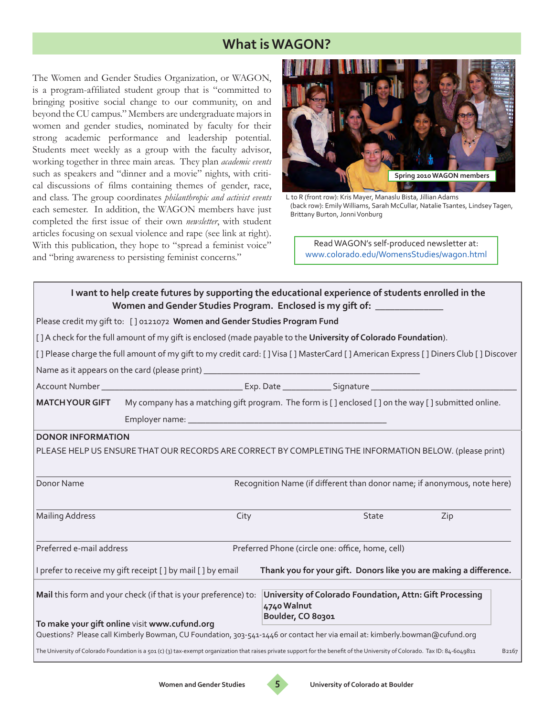# **What is WAGON?**

The Women and Gender Studies Organization, or WAGON, is a program-affiliated student group that is "committed to bringing positive social change to our community, on and beyond the CU campus." Members are undergraduate majors in women and gender studies, nominated by faculty for their strong academic performance and leadership potential. Students meet weekly as a group with the faculty advisor, working together in three main areas. They plan *academic events* such as speakers and "dinner and a movie" nights, with critical discussions of films containing themes of gender, race, and class. The group coordinates *philanthropic and activist events* each semester. In addition, the WAGON members have just completed the first issue of their own *newsletter*, with student articles focusing on sexual violence and rape (see link at right). With this publication, they hope to "spread a feminist voice" and "bring awareness to persisting feminist concerns."



L to R (front row): Kris Mayer, Manaslu Bista, Jillian Adams (back row): Emily Williams, Sarah McCullar, Natalie Tsantes, Lindsey Tagen, Brittany Burton, Jonni Vonburg

Read WAGON's self-produced newsletter at: www.colorado.edu/WomensStudies/wagon.html

|                                                                                                                                                                              | I want to help create futures by supporting the educational experience of students enrolled in the<br>Women and Gender Studies Program. Enclosed is my gift of: ______________ |
|------------------------------------------------------------------------------------------------------------------------------------------------------------------------------|--------------------------------------------------------------------------------------------------------------------------------------------------------------------------------|
| Please credit my gift to: [] 0121072 Women and Gender Studies Program Fund                                                                                                   |                                                                                                                                                                                |
| [] A check for the full amount of my gift is enclosed (made payable to the University of Colorado Foundation).                                                               |                                                                                                                                                                                |
|                                                                                                                                                                              | [] Please charge the full amount of my gift to my credit card: [] Visa [] MasterCard [] American Express [] Diners Club [] Discover                                            |
|                                                                                                                                                                              |                                                                                                                                                                                |
|                                                                                                                                                                              |                                                                                                                                                                                |
| <b>MATCH YOUR GIFT</b>                                                                                                                                                       | My company has a matching gift program. The form is [] enclosed [] on the way [] submitted online.                                                                             |
|                                                                                                                                                                              |                                                                                                                                                                                |
| <b>DONOR INFORMATION</b>                                                                                                                                                     | PLEASE HELP US ENSURE THAT OUR RECORDS ARE CORRECT BY COMPLETING THE INFORMATION BELOW. (please print)                                                                         |
| Donor Name                                                                                                                                                                   | Recognition Name (if different than donor name; if anonymous, note here)                                                                                                       |
| <b>Mailing Address</b><br>City                                                                                                                                               | State<br>Zip                                                                                                                                                                   |
| Preferred e-mail address                                                                                                                                                     | Preferred Phone (circle one: office, home, cell)                                                                                                                               |
| I prefer to receive my gift receipt [ ] by mail [ ] by email                                                                                                                 | Thank you for your gift. Donors like you are making a difference.                                                                                                              |
| Mail this form and your check (if that is your preference) to:<br>To make your gift online visit www.cufund.org                                                              | University of Colorado Foundation, Attn: Gift Processing<br>4740 Walnut<br>Boulder, CO 80301                                                                                   |
| Questions? Please call Kimberly Bowman, CU Foundation, 303-541-1446 or contact her via email at: kimberly.bowman@cufund.org                                                  |                                                                                                                                                                                |
| The University of Colorado Foundation is a 501 (c) (3) tax-exempt organization that raises private support for the benefit of the University of Colorado. Tax ID: 84-6049811 | B <sub>2167</sub>                                                                                                                                                              |

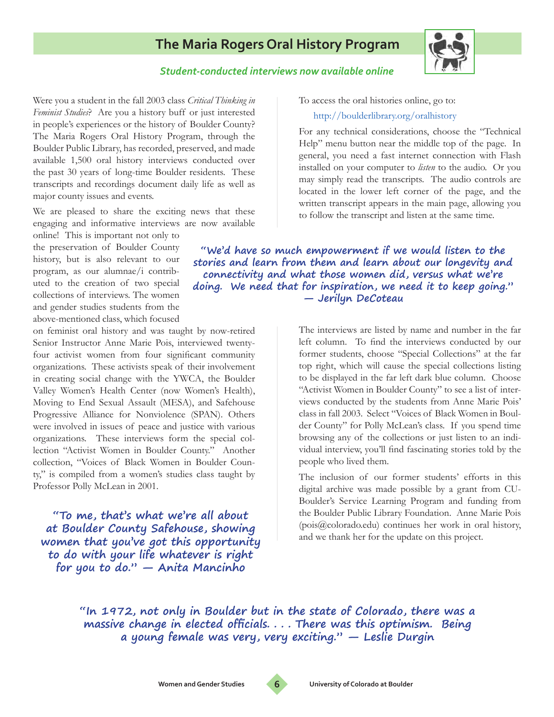**The Maria Rogers Oral History Program**

*Student-conducted interviews now available online*

The Maria Rogers Oral History Program, through the Boulder Public Library, has recorded, preserved, and made available 1,500 oral history interviews conducted over the past 30 years of long-time Boulder residents. These transcripts and recordings document daily life as well as major county issues and events.

We are pleased to share the exciting news that these engaging and informative interviews are now available

Were you a student in the fall 2003 class *Critical Thinking in Feminist Studies*? Are you a history buff or just interested in people's experiences or the history of Boulder County?

online! This is important not only to the preservation of Boulder County history, but is also relevant to our program, as our alumnae/i contributed to the creation of two special collections of interviews. The women and gender studies students from the above-mentioned class, which focused

on feminist oral history and was taught by now-retired Senior Instructor Anne Marie Pois, interviewed twentyfour activist women from four significant community organizations. These activists speak of their involvement in creating social change with the YWCA, the Boulder Valley Women's Health Center (now Women's Health), Moving to End Sexual Assault (MESA), and Safehouse Progressive Alliance for Nonviolence (SPAN). Others were involved in issues of peace and justice with various organizations. These interviews form the special collection "Activist Women in Boulder County." Another collection, "Voices of Black Women in Boulder County," is compiled from a women's studies class taught by Professor Polly McLean in 2001.

**"To me, that's what we're all about at Boulder County Safehouse, showing women that you've got this opportunity to do with your life whatever is right for you to do." — Anita Mancinho** 

To access the oral histories online, go to:

#### http://boulderlibrary.org/oralhistory

For any technical considerations, choose the "Technical Help" menu button near the middle top of the page. In general, you need a fast internet connection with Flash installed on your computer to *listen* to the audio. Or you may simply read the transcripts. The audio controls are located in the lower left corner of the page, and the written transcript appears in the main page, allowing you to follow the transcript and listen at the same time.

**"We'd have so much empowerment if we would listen to the stories and learn from them and learn about our longevity and connectivity and what those women did, versus what we're doing. We need that for inspiration, we need it to keep going." — Jerilyn DeCoteau**

> The interviews are listed by name and number in the far left column. To find the interviews conducted by our former students, choose "Special Collections" at the far top right, which will cause the special collections listing to be displayed in the far left dark blue column. Choose "Activist Women in Boulder County" to see a list of interviews conducted by the students from Anne Marie Pois' class in fall 2003. Select "Voices of Black Women in Boulder County" for Polly McLean's class. If you spend time browsing any of the collections or just listen to an individual interview, you'll find fascinating stories told by the people who lived them.

> The inclusion of our former students' efforts in this digital archive was made possible by a grant from CU-Boulder's Service Learning Program and funding from the Boulder Public Library Foundation. Anne Marie Pois (pois@colorado.edu) continues her work in oral history, and we thank her for the update on this project.

**"In 1972, not only in Boulder but in the state of Colorado, there was a massive change in elected officials. . . . There was this optimism. Being a young female was very, very exciting." — Leslie Durgin** 



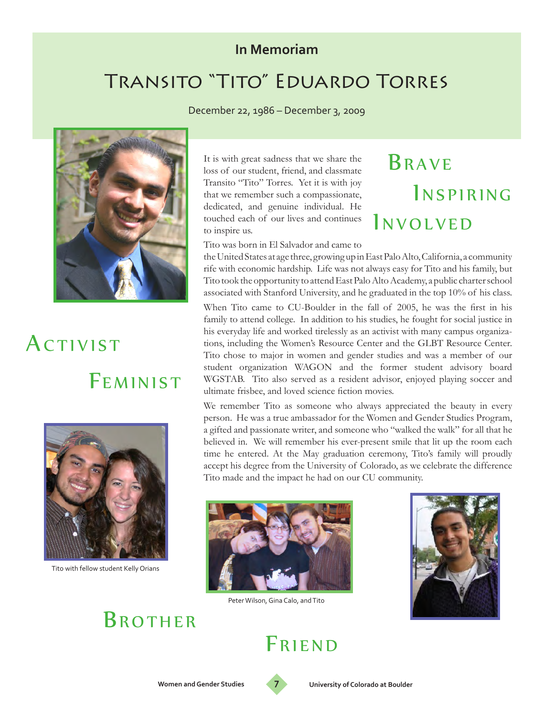# **In Memoriam**

# Transito "Tito" Eduardo Torres

December 22, 1986 – December 3, 2009



# FEMINIST ACTIVIST



Tito with fellow student Kelly Orians

# **BROTHER**

It is with great sadness that we share the loss of our student, friend, and classmate Transito "Tito" Torres. Yet it is with joy that we remember such a compassionate, dedicated, and genuine individual. He touched each of our lives and continues to inspire us.

#### Tito was born in El Salvador and came to

the United States at age three, growing up in East Palo Alto, California, a community rife with economic hardship. Life was not always easy for Tito and his family, but Tito took the opportunity to attend East Palo Alto Academy, a public charter school associated with Stanford University, and he graduated in the top 10% of his class.

**BRAVE** 

*INVOLVED* 

INSPIRING

When Tito came to CU-Boulder in the fall of 2005, he was the first in his family to attend college. In addition to his studies, he fought for social justice in his everyday life and worked tirelessly as an activist with many campus organizations, including the Women's Resource Center and the GLBT Resource Center. Tito chose to major in women and gender studies and was a member of our student organization WAGON and the former student advisory board WGSTAB. Tito also served as a resident advisor, enjoyed playing soccer and ultimate frisbee, and loved science fiction movies.

We remember Tito as someone who always appreciated the beauty in every person. He was a true ambassador for the Women and Gender Studies Program, a gifted and passionate writer, and someone who "walked the walk" for all that he believed in. We will remember his ever-present smile that lit up the room each time he entered. At the May graduation ceremony, Tito's family will proudly accept his degree from the University of Colorado, as we celebrate the difference Tito made and the impact he had on our CU community.



Peter Wilson, Gina Calo, and Tito



FRIEND